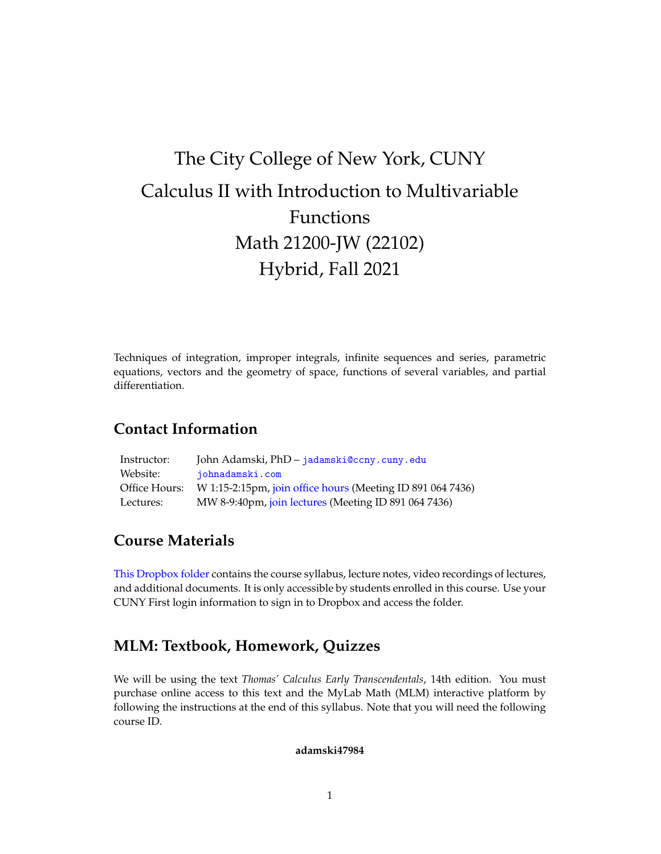# The City College of New York, CUNY Calculus II with Introduction to Multivariable Functions Math 21200-JW (22102) Hybrid, Fall 2021

Techniques of integration, improper integrals, infinite sequences and series, parametric equations, vectors and the geometry of space, functions of several variables, and partial differentiation.

## **Contact Information**

| Instructor:   | John Adamski, PhD – jadamski@ccny.cuny.edu                 |
|---------------|------------------------------------------------------------|
| Website:      | iohnadamski.com                                            |
| Office Hours: | W 1:15-2:15pm, join office hours (Meeting ID 891 064 7436) |
| Lectures:     | MW 8-9:40pm, join lectures (Meeting ID 891 064 7436)       |

## **Course Materials**

[This Dropbox folder](https://www.dropbox.com/sh/dr1rqvxkcl0d64j/AAA7UKxL4i9d06RvoCj-4JfXa?dl=0) contains the course syllabus, lecture notes, video recordings of lectures, and additional documents. It is only accessible by students enrolled in this course. Use your CUNY First login information to sign in to Dropbox and access the folder.

## **MLM: Textbook, Homework, Quizzes**

We will be using the text *Thomas' Calculus Early Transcendentals*, 14th edition. You must purchase online access to this text and the MyLab Math (MLM) interactive platform by following the instructions at the end of this syllabus. Note that you will need the following course ID.

#### **adamski47984**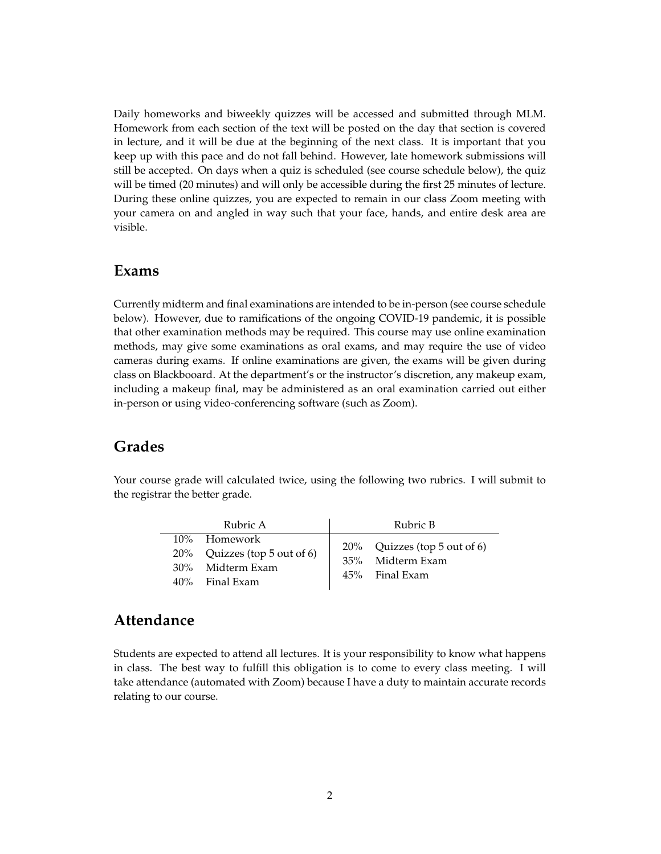Daily homeworks and biweekly quizzes will be accessed and submitted through MLM. Homework from each section of the text will be posted on the day that section is covered in lecture, and it will be due at the beginning of the next class. It is important that you keep up with this pace and do not fall behind. However, late homework submissions will still be accepted. On days when a quiz is scheduled (see course schedule below), the quiz will be timed (20 minutes) and will only be accessible during the first 25 minutes of lecture. During these online quizzes, you are expected to remain in our class Zoom meeting with your camera on and angled in way such that your face, hands, and entire desk area are visible.

#### **Exams**

Currently midterm and final examinations are intended to be in-person (see course schedule below). However, due to ramifications of the ongoing COVID-19 pandemic, it is possible that other examination methods may be required. This course may use online examination methods, may give some examinations as oral exams, and may require the use of video cameras during exams. If online examinations are given, the exams will be given during class on Blackbooard. At the department's or the instructor's discretion, any makeup exam, including a makeup final, may be administered as an oral examination carried out either in-person or using video-conferencing software (such as Zoom).

## **Grades**

Your course grade will calculated twice, using the following two rubrics. I will submit to the registrar the better grade.

| Rubric A                                                                              | Rubric B                                                              |
|---------------------------------------------------------------------------------------|-----------------------------------------------------------------------|
| 10% Homework<br>$20\%$ Quizzes (top 5 out of 6)<br>30% Midterm Exam<br>40% Final Exam | $20\%$ Quizzes (top 5 out of 6)<br>35% Midterm Exam<br>45% Final Exam |

### **Attendance**

Students are expected to attend all lectures. It is your responsibility to know what happens in class. The best way to fulfill this obligation is to come to every class meeting. I will take attendance (automated with Zoom) because I have a duty to maintain accurate records relating to our course.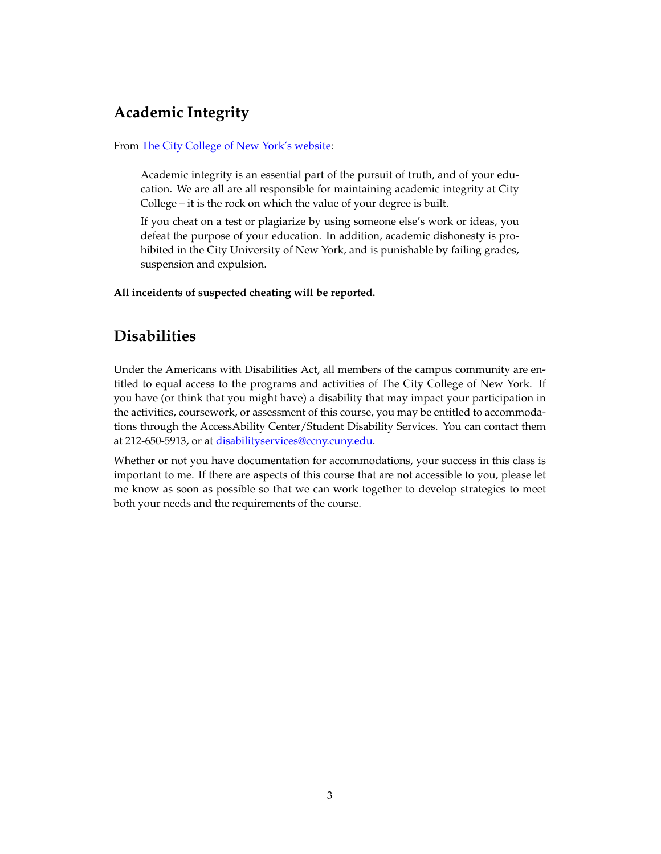# **Academic Integrity**

From [The City College of New York's website:](https://www.ccny.cuny.edu/about/integrity)

Academic integrity is an essential part of the pursuit of truth, and of your education. We are all are all responsible for maintaining academic integrity at City College – it is the rock on which the value of your degree is built.

If you cheat on a test or plagiarize by using someone else's work or ideas, you defeat the purpose of your education. In addition, academic dishonesty is prohibited in the City University of New York, and is punishable by failing grades, suspension and expulsion.

**All inceidents of suspected cheating will be reported.**

# **Disabilities**

Under the Americans with Disabilities Act, all members of the campus community are entitled to equal access to the programs and activities of The City College of New York. If you have (or think that you might have) a disability that may impact your participation in the activities, coursework, or assessment of this course, you may be entitled to accommodations through the AccessAbility Center/Student Disability Services. You can contact them at 212-650-5913, or at [disabilityservices@ccny.cuny.edu.](mailto:disabilityservices@ccny.cuny.edu)

Whether or not you have documentation for accommodations, your success in this class is important to me. If there are aspects of this course that are not accessible to you, please let me know as soon as possible so that we can work together to develop strategies to meet both your needs and the requirements of the course.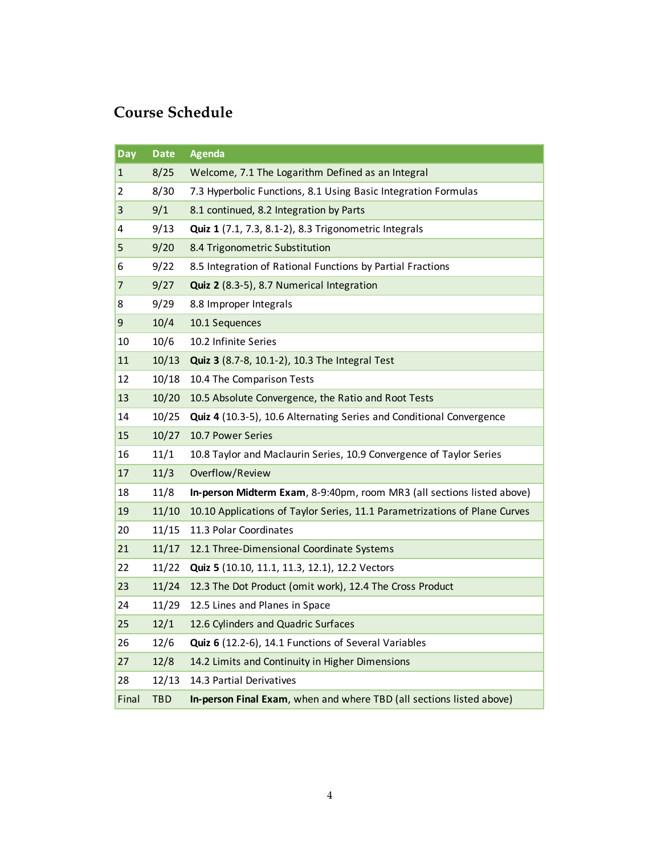# **Course Schedule**

| Day   | <b>Date</b> | <b>Agenda</b>                                                              |
|-------|-------------|----------------------------------------------------------------------------|
| 1     | 8/25        | Welcome, 7.1 The Logarithm Defined as an Integral                          |
| 2     | 8/30        | 7.3 Hyperbolic Functions, 8.1 Using Basic Integration Formulas             |
| 3     | 9/1         | 8.1 continued, 8.2 Integration by Parts                                    |
| 4     | 9/13        | Quiz 1 (7.1, 7.3, 8.1-2), 8.3 Trigonometric Integrals                      |
| 5     | 9/20        | 8.4 Trigonometric Substitution                                             |
| 6     | 9/22        | 8.5 Integration of Rational Functions by Partial Fractions                 |
| 7     | 9/27        | Quiz 2 (8.3-5), 8.7 Numerical Integration                                  |
| 8     | 9/29        | 8.8 Improper Integrals                                                     |
| 9     | 10/4        | 10.1 Sequences                                                             |
| 10    | 10/6        | 10.2 Infinite Series                                                       |
| 11    | 10/13       | Quiz 3 (8.7-8, 10.1-2), 10.3 The Integral Test                             |
| 12    | 10/18       | 10.4 The Comparison Tests                                                  |
| 13    | 10/20       | 10.5 Absolute Convergence, the Ratio and Root Tests                        |
| 14    | 10/25       | Quiz 4 (10.3-5), 10.6 Alternating Series and Conditional Convergence       |
| 15    | 10/27       | 10.7 Power Series                                                          |
| 16    | 11/1        | 10.8 Taylor and Maclaurin Series, 10.9 Convergence of Taylor Series        |
| 17    | 11/3        | Overflow/Review                                                            |
| 18    | 11/8        | In-person Midterm Exam, 8-9:40pm, room MR3 (all sections listed above)     |
| 19    | 11/10       | 10.10 Applications of Taylor Series, 11.1 Parametrizations of Plane Curves |
| 20    | 11/15       | 11.3 Polar Coordinates                                                     |
| 21    | 11/17       | 12.1 Three-Dimensional Coordinate Systems                                  |
| 22    | 11/22       | Quiz 5 (10.10, 11.1, 11.3, 12.1), 12.2 Vectors                             |
| 23    | 11/24       | 12.3 The Dot Product (omit work), 12.4 The Cross Product                   |
| 24    | 11/29       | 12.5 Lines and Planes in Space                                             |
| 25    | 12/1        | 12.6 Cylinders and Quadric Surfaces                                        |
| 26    | 12/6        | Quiz 6 (12.2-6), 14.1 Functions of Several Variables                       |
| 27    | 12/8        | 14.2 Limits and Continuity in Higher Dimensions                            |
| 28    | 12/13       | 14.3 Partial Derivatives                                                   |
| Final | <b>TBD</b>  | In-person Final Exam, when and where TBD (all sections listed above)       |